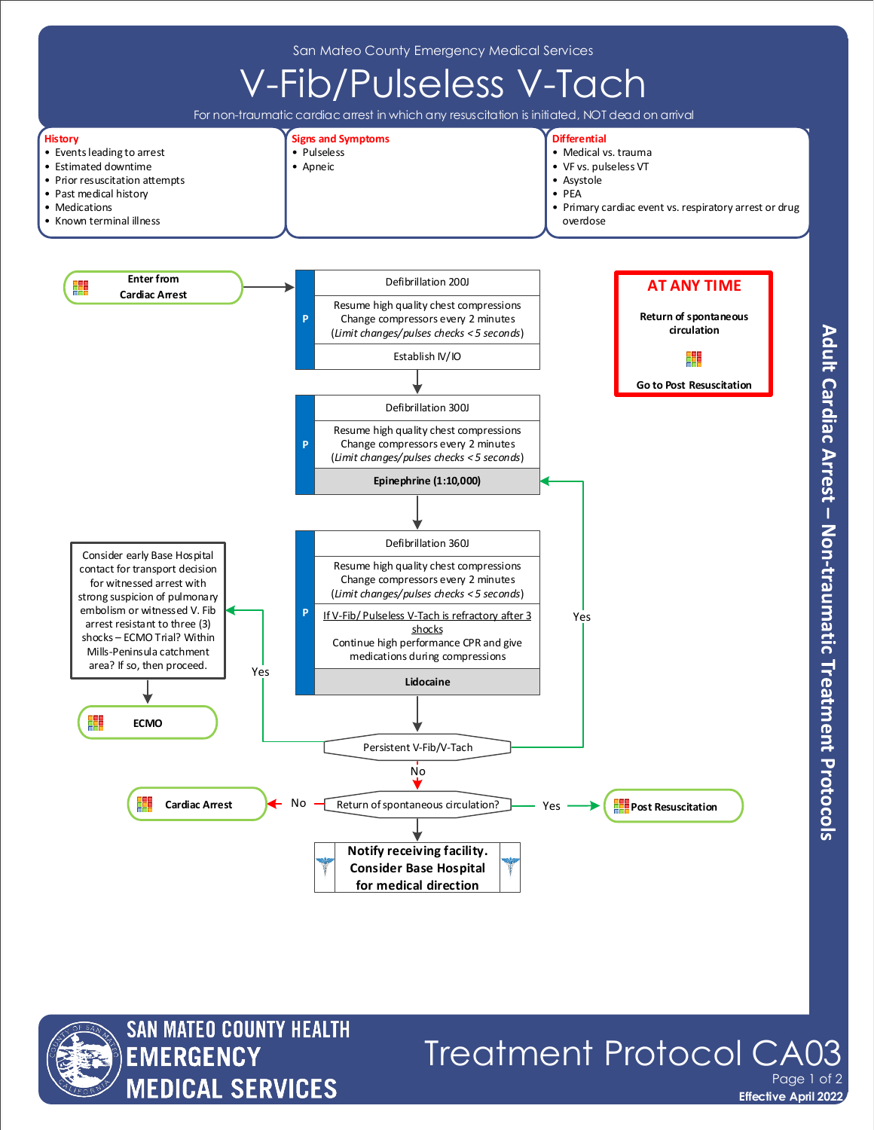

# Adult Cardiac Arrest - Non-traumatic Treatment Protocols



## Treatment Protocol CA Page 1 of 2

**Effective April 2022**